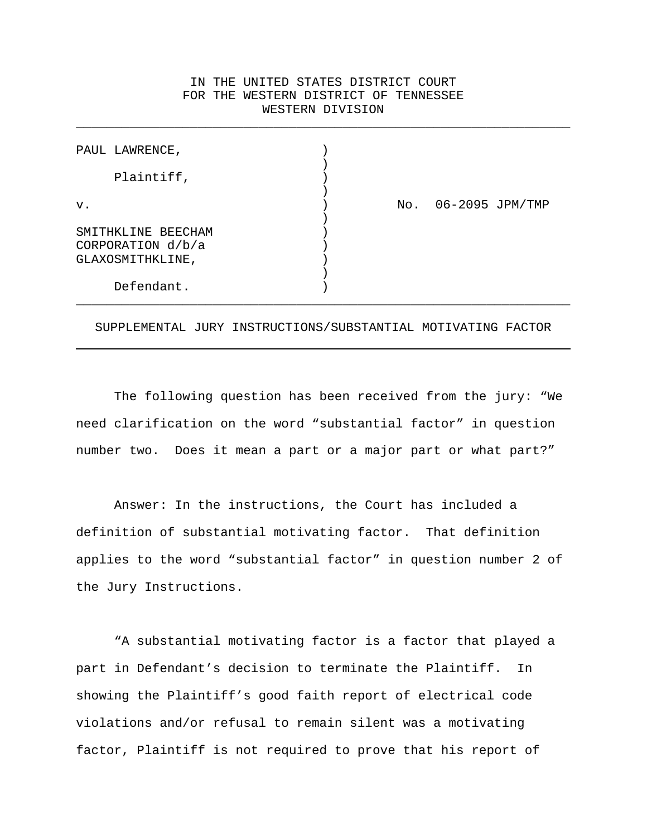## IN THE UNITED STATES DISTRICT COURT FOR THE WESTERN DISTRICT OF TENNESSEE WESTERN DIVISION

\_\_\_\_\_\_\_\_\_\_\_\_\_\_\_\_\_\_\_\_\_\_\_\_\_\_\_\_\_\_\_\_\_\_\_\_\_\_\_\_\_\_\_\_\_\_\_\_\_\_\_\_\_\_\_\_\_\_\_\_\_\_\_\_\_

| PAUL LAWRENCE,     |     |                 |
|--------------------|-----|-----------------|
| Plaintiff,         |     |                 |
| v.                 | No. | 06-2095 JPM/TMP |
| SMITHKLINE BEECHAM |     |                 |
| CORPORATION d/b/a  |     |                 |
| GLAXOSMITHKLINE,   |     |                 |
|                    |     |                 |
| Defendant.         |     |                 |

SUPPLEMENTAL JURY INSTRUCTIONS/SUBSTANTIAL MOTIVATING FACTOR

The following question has been received from the jury: "We need clarification on the word "substantial factor" in question number two. Does it mean a part or a major part or what part?"

Answer: In the instructions, the Court has included a definition of substantial motivating factor. That definition applies to the word "substantial factor" in question number 2 of the Jury Instructions.

"A substantial motivating factor is a factor that played a part in Defendant's decision to terminate the Plaintiff. In showing the Plaintiff's good faith report of electrical code violations and/or refusal to remain silent was a motivating factor, Plaintiff is not required to prove that his report of